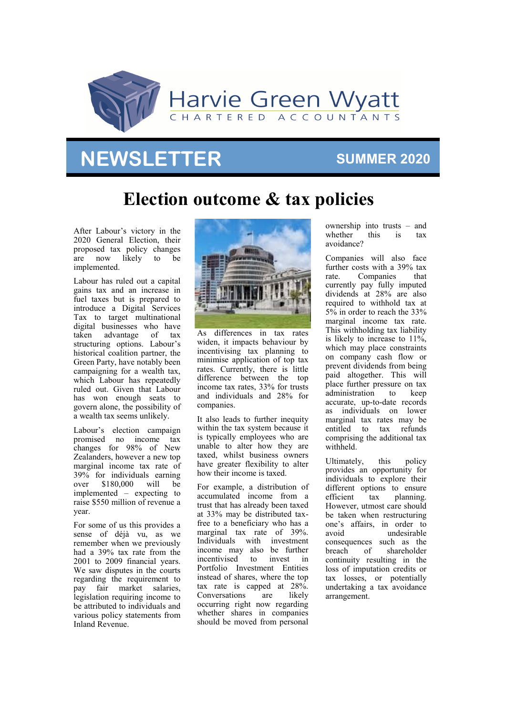

# **NEWSLETTER**

## **SUMMER 2020**

# **Election outcome & tax policies**

After Labour's victory in the 2020 General Election, their proposed tax policy changes are now likely to be implemented.

Labour has ruled out a capital gains tax and an increase in fuel taxes but is prepared to introduce a Digital Services Tax to target multinational digital businesses who have taken advantage of tax structuring options. Labour's historical coalition partner, the Green Party, have notably been campaigning for a wealth tax, which Labour has repeatedly ruled out. Given that Labour has won enough seats to govern alone, the possibility of a wealth tax seems unlikely.

Labour's election campaign promised no income tax changes for 98% of New Zealanders, however a new top marginal income tax rate of 39% for individuals earning over \$180,000 will be implemented – expecting to raise \$550 million of revenue a year.

For some of us this provides a sense of déjà vu, as we remember when we previously had a 39% tax rate from the 2001 to 2009 financial years. We saw disputes in the courts regarding the requirement to pay fair market salaries, legislation requiring income to be attributed to individuals and various policy statements from Inland Revenue.



As differences in tax rates widen, it impacts behaviour by incentivising tax planning to minimise application of top tax rates. Currently, there is little difference between the top income tax rates, 33% for trusts and individuals and 28% for companies.

It also leads to further inequity within the tax system because it is typically employees who are unable to alter how they are taxed, whilst business owners have greater flexibility to alter how their income is taxed.

For example, a distribution of accumulated income from a trust that has already been taxed at 33% may be distributed taxfree to a beneficiary who has a marginal tax rate of 39%. Individuals with investment income may also be further incentivised to invest in Portfolio Investment Entities instead of shares, where the top tax rate is capped at 28%. Conversations are likely occurring right now regarding whether shares in companies should be moved from personal

ownership into trusts – and whether this is tax avoidance?

Companies will also face further costs with a 39% tax rate. Companies that currently pay fully imputed dividends at 28% are also required to withhold tax at 5% in order to reach the 33% marginal income tax rate. This withholding tax liability is likely to increase to 11%, which may place constraints on company cash flow or prevent dividends from being paid altogether. This will place further pressure on tax administration to keep accurate, up-to-date records as individuals on lower marginal tax rates may be entitled to tax refunds comprising the additional tax withheld.

Ultimately, this policy provides an opportunity for individuals to explore their different options to ensure efficient tax planning. However, utmost care should be taken when restructuring one's affairs, in order to avoid undesirable consequences such as the breach of shareholder continuity resulting in the loss of imputation credits or tax losses, or potentially undertaking a tax avoidance arrangement.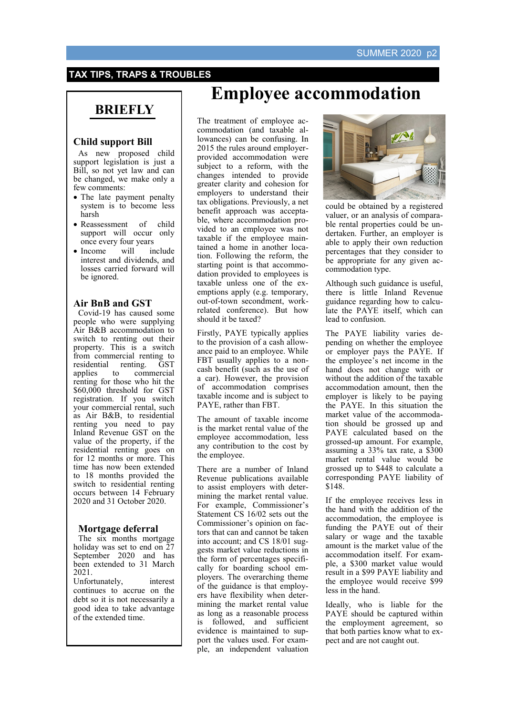### **TAX TIPS, TRAPS & TROUBLES**

## **BRIEFLY**

### **Child support Bill**

As new proposed child support legislation is just a Bill, so not yet law and can be changed, we make only a few comments:

- The late payment penalty system is to become less harsh
- Reassessment of child support will occur only once every four years
- Income will include interest and dividends, and losses carried forward will be ignored.

### **Air BnB and GST**

Covid-19 has caused some people who were supplying Air B&B accommodation to switch to renting out their property. This is a switch from commercial renting to residential renting. GST<br>applies to commercial applies to commercial renting for those who hit the \$60,000 threshold for GST registration. If you switch your commercial rental, such as Air B&B, to residential renting you need to pay Inland Revenue GST on the value of the property, if the residential renting goes on for 12 months or more. This time has now been extended to 18 months provided the switch to residential renting occurs between 14 February 2020 and 31 October 2020.

#### **Mortgage deferral**

The six months mortgage holiday was set to end on 27 September 2020 and has been extended to 31 March 2021.

Unfortunately, interest continues to accrue on the debt so it is not necessarily a good idea to take advantage of the extended time.

# **Employee accommodation**

The treatment of employee accommodation (and taxable allowances) can be confusing. In 2015 the rules around employerprovided accommodation were subject to a reform, with the changes intended to provide greater clarity and cohesion for employers to understand their tax obligations. Previously, a net benefit approach was acceptable, where accommodation provided to an employee was not taxable if the employee maintained a home in another location. Following the reform, the starting point is that accommodation provided to employees is taxable unless one of the exemptions apply (e.g. temporary, out-of-town secondment, workrelated conference). But how should it be taxed?

Firstly, PAYE typically applies to the provision of a cash allowance paid to an employee. While FBT usually applies to a noncash benefit (such as the use of a car). However, the provision of accommodation comprises taxable income and is subject to PAYE, rather than FBT.

The amount of taxable income is the market rental value of the employee accommodation, less any contribution to the cost by the employee.

There are a number of Inland Revenue publications available to assist employers with determining the market rental value. For example, Commissioner's Statement CS 16/02 sets out the Commissioner's opinion on factors that can and cannot be taken into account; and CS 18/01 suggests market value reductions in the form of percentages specifically for boarding school employers. The overarching theme of the guidance is that employers have flexibility when determining the market rental value as long as a reasonable process is followed, and sufficient evidence is maintained to support the values used. For example, an independent valuation



could be obtained by a registered valuer, or an analysis of comparable rental properties could be undertaken. Further, an employer is able to apply their own reduction percentages that they consider to be appropriate for any given accommodation type.

Although such guidance is useful, there is little Inland Revenue guidance regarding how to calculate the PAYE itself, which can lead to confusion.

The PAYE liability varies depending on whether the employee or employer pays the PAYE. If the employee's net income in the hand does not change with or without the addition of the taxable accommodation amount, then the employer is likely to be paying the PAYE. In this situation the market value of the accommodation should be grossed up and PAYE calculated based on the grossed-up amount. For example, assuming a 33% tax rate, a \$300 market rental value would be grossed up to \$448 to calculate a corresponding PAYE liability of \$148.

If the employee receives less in the hand with the addition of the accommodation, the employee is funding the PAYE out of their salary or wage and the taxable amount is the market value of the accommodation itself. For example, a \$300 market value would result in a \$99 PAYE liability and the employee would receive \$99 less in the hand.

Ideally, who is liable for the PAYE should be captured within the employment agreement, so that both parties know what to expect and are not caught out.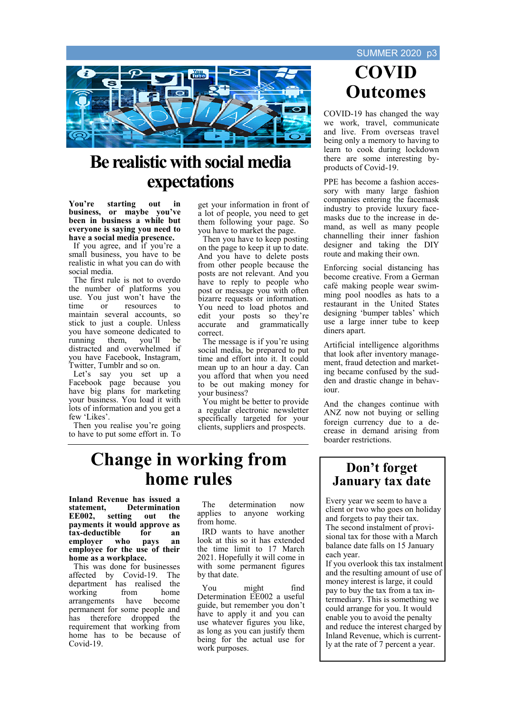

# **Be realistic with social media expectations**

**You're starting out in business, or maybe you've been in business a while but everyone is saying you need to have a social media presence.**

If you agree, and if you're a small business, you have to be realistic in what you can do with social media.

The first rule is not to overdo the number of platforms you use. You just won't have the time or resources to maintain several accounts, so stick to just a couple. Unless you have someone dedicated to running them, you'll be distracted and overwhelmed if you have Facebook, Instagram, Twitter, Tumblr and so on.

Let's say you set up a Facebook page because you have big plans for marketing your business. You load it with lots of information and you get a few 'Likes'.

Then you realise you're going to have to put some effort in. To

get your information in front of a lot of people, you need to get them following your page. So you have to market the page.

Then you have to keep posting on the page to keep it up to date. And you have to delete posts from other people because the posts are not relevant. And you have to reply to people who post or message you with often bizarre requests or information. You need to load photos and edit your posts so they're<br>accurate and grammatically and grammatically correct.

The message is if you're using social media, be prepared to put time and effort into it. It could mean up to an hour a day. Can you afford that when you need to be out making money for your business?

You might be better to provide a regular electronic newsletter specifically targeted for your clients, suppliers and prospects.

# **COVID Outcomes**

COVID-19 has changed the way we work, travel, communicate and live. From overseas travel being only a memory to having to learn to cook during lockdown there are some interesting byproducts of Covid-19.

PPE has become a fashion accessory with many large fashion companies entering the facemask industry to provide luxury facemasks due to the increase in demand, as well as many people channelling their inner fashion designer and taking the DIY route and making their own.

Enforcing social distancing has become creative. From a German café making people wear swimming pool noodles as hats to a restaurant in the United States designing 'bumper tables' which use a large inner tube to keep diners apart.

Artificial intelligence algorithms that look after inventory management, fraud detection and marketing became confused by the sudden and drastic change in behaviour.

And the changes continue with ANZ now not buying or selling foreign currency due to a decrease in demand arising from boarder restrictions.

# **Change in working from home rules**

**Inland Revenue has issued a statement, Determination EXECUTE:** Setting out the **payments it would approve as tax-deductible for an employer who pays an employee for the use of their home as a workplace.** 

This was done for businesses affected by Covid-19. The department has realised the working from home<br>arrangements have become arrangements permanent for some people and has therefore dropped the requirement that working from home has to be because of Covid-19.

The determination now applies to anyone working from home.

IRD wants to have another look at this so it has extended the time limit to 17 March 2021. Hopefully it will come in with some permanent figures by that date.

You might find Determination EE002 a useful guide, but remember you don't have to apply it and you can use whatever figures you like, as long as you can justify them being for the actual use for work purposes.

### **Don't forget January tax date**

Every year we seem to have a client or two who goes on holiday and forgets to pay their tax. The second instalment of provisional tax for those with a March balance date falls on 15 January each year.

If you overlook this tax instalment and the resulting amount of use of money interest is large, it could pay to buy the tax from a tax intermediary. This is something we could arrange for you. It would enable you to avoid the penalty and reduce the interest charged by Inland Revenue, which is currently at the rate of 7 percent a year.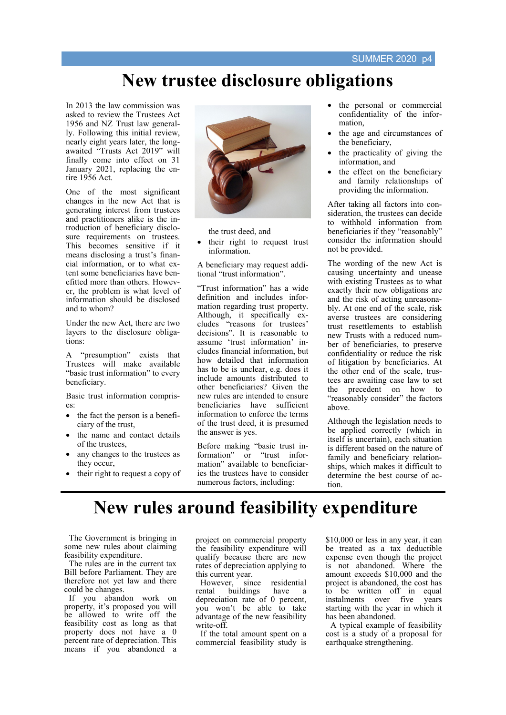# **New trustee disclosure obligations**

In 2013 the law commission was asked to review the Trustees Act 1956 and NZ Trust law generally. Following this initial review, nearly eight years later, the longawaited "Trusts Act 2019" will finally come into effect on 31 January 2021, replacing the entire 1956 Act.

One of the most significant changes in the new Act that is generating interest from trustees and practitioners alike is the introduction of beneficiary disclosure requirements on trustees. This becomes sensitive if it means disclosing a trust's financial information, or to what extent some beneficiaries have benefitted more than others. However, the problem is what level of information should be disclosed and to whom?

Under the new Act, there are two layers to the disclosure obligations:

A "presumption" exists that Trustees will make available "basic trust information" to every beneficiary.

Basic trust information comprises:

- the fact the person is a beneficiary of the trust,
- the name and contact details of the trustees,
- any changes to the trustees as they occur,
- their right to request a copy of



the trust deed, and

their right to request trust information.

A beneficiary may request additional "trust information".

"Trust information" has a wide definition and includes information regarding trust property. Although, it specifically excludes "reasons for trustees' decisions". It is reasonable to assume 'trust information' includes financial information, but how detailed that information has to be is unclear, e.g. does it include amounts distributed to other beneficiaries? Given the new rules are intended to ensure beneficiaries have sufficient information to enforce the terms of the trust deed, it is presumed the answer is yes.

Before making "basic trust information" or "trust information" available to beneficiaries the trustees have to consider numerous factors, including:

- the personal or commercial confidentiality of the information,
- the age and circumstances of the beneficiary,
- the practicality of giving the information, and
- the effect on the beneficiary and family relationships of providing the information.

After taking all factors into consideration, the trustees can decide to withhold information from beneficiaries if they "reasonably" consider the information should not be provided.

The wording of the new Act is causing uncertainty and unease with existing Trustees as to what exactly their new obligations are and the risk of acting unreasonably. At one end of the scale, risk averse trustees are considering trust resettlements to establish new Trusts with a reduced number of beneficiaries, to preserve confidentiality or reduce the risk of litigation by beneficiaries. At the other end of the scale, trustees are awaiting case law to set the precedent on how to "reasonably consider" the factors above.

Although the legislation needs to be applied correctly (which in itself is uncertain), each situation is different based on the nature of family and beneficiary relationships, which makes it difficult to determine the best course of action.

# **New rules around feasibility expenditure**

The Government is bringing in some new rules about claiming feasibility expenditure.

The rules are in the current tax Bill before Parliament. They are therefore not yet law and there could be changes.

If you abandon work on property, it's proposed you will be allowed to write off the feasibility cost as long as that property does not have a 0 percent rate of depreciation. This means if you abandoned a project on commercial property the feasibility expenditure will qualify because there are new rates of depreciation applying to this current year.

However, since residential rental buildings have a depreciation rate of 0 percent, you won't be able to take advantage of the new feasibility write-off.

If the total amount spent on a commercial feasibility study is \$10,000 or less in any year, it can be treated as a tax deductible expense even though the project is not abandoned. Where the amount exceeds \$10,000 and the project is abandoned, the cost has to be written off in equal instalments over five years starting with the year in which it has been abandoned.

A typical example of feasibility cost is a study of a proposal for earthquake strengthening.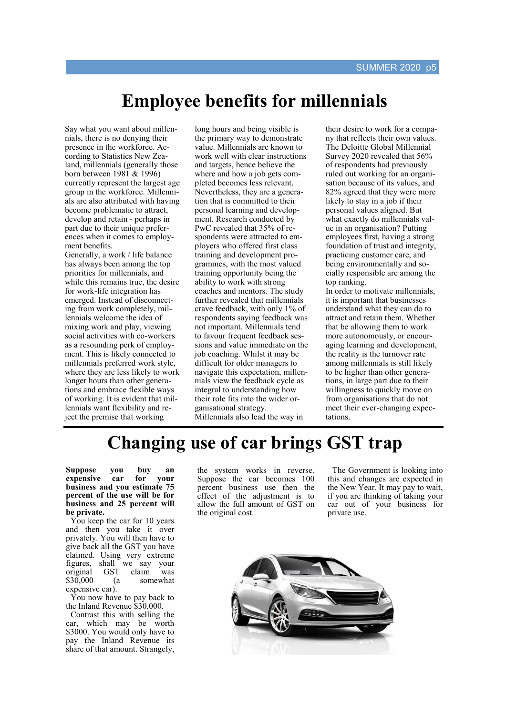# **Employee benefits for millennials**

Say what you want about millennials, there is no denying their presence in the workforce. According to Statistics New Zealand, millennials (generally those born between 1981 & 1996) currently represent the largest age group in the workforce. Millennials are also attributed with having become problematic to attract, develop and retain - perhaps in part due to their unique preferences when it comes to employment benefits.

Generally, a work / life balance has always been among the top priorities for millennials, and while this remains true, the desire for work-life integration has emerged. Instead of disconnecting from work completely, millennials welcome the idea of mixing work and play, viewing social activities with co-workers as a resounding perk of employment. This is likely connected to millennials preferred work style, where they are less likely to work longer hours than other generations and embrace flexible ways of working. It is evident that millennials want flexibility and reject the premise that working

long hours and being visible is the primary way to demonstrate value. Millennials are known to work well with clear instructions and targets, hence believe the where and how a job gets completed becomes less relevant. Nevertheless, they are a generation that is committed to their personal learning and development. Research conducted by PwC revealed that 35% of respondents were attracted to employers who offered first class training and development programmes, with the most valued training opportunity being the ability to work with strong coaches and mentors. The study further revealed that millennials crave feedback, with only 1% of respondents saying feedback was not important. Millennials tend to favour frequent feedback sessions and value immediate on the job coaching. Whilst it may be difficult for older managers to navigate this expectation, millennials view the feedback cycle as integral to understanding how their role fits into the wider organisational strategy. Millennials also lead the way in

their desire to work for a company that reflects their own values. The Deloitte Global Millennial Survey 2020 revealed that 56% of respondents had previously ruled out working for an organisation because of its values, and 82% agreed that they were more likely to stay in a job if their personal values aligned. But what exactly do millennials value in an organisation? Putting employees first, having a strong foundation of trust and integrity, practicing customer care, and being environmentally and socially responsible are among the top ranking. In order to motivate millennials, it is important that businesses understand what they can do to attract and retain them. Whether that be allowing them to work more autonomously, or encouraging learning and development,

the reality is the turnover rate among millennials is still likely to be higher than other generations, in large part due to their willingness to quickly move on from organisations that do not meet their ever-changing expectations.

# **Changing use of car brings GST trap**

**Suppose you buy an expensive car for your business and you estimate 75 percent of the use will be for business and 25 percent will be private.** 

You keep the car for 10 years and then you take it over privately. You will then have to give back all the GST you have claimed. Using very extreme figures, shall we say your original GST claim was \$30,000 (a somewhat expensive car).

You now have to pay back to the Inland Revenue \$30,000.

Contrast this with selling the car, which may be worth \$3000. You would only have to pay the Inland Revenue its share of that amount. Strangely, the system works in reverse. Suppose the car becomes 100 percent business use then the effect of the adjustment is to allow the full amount of GST on the original cost.

The Government is looking into this and changes are expected in the New Year. It may pay to wait, if you are thinking of taking your car out of your business for private use.